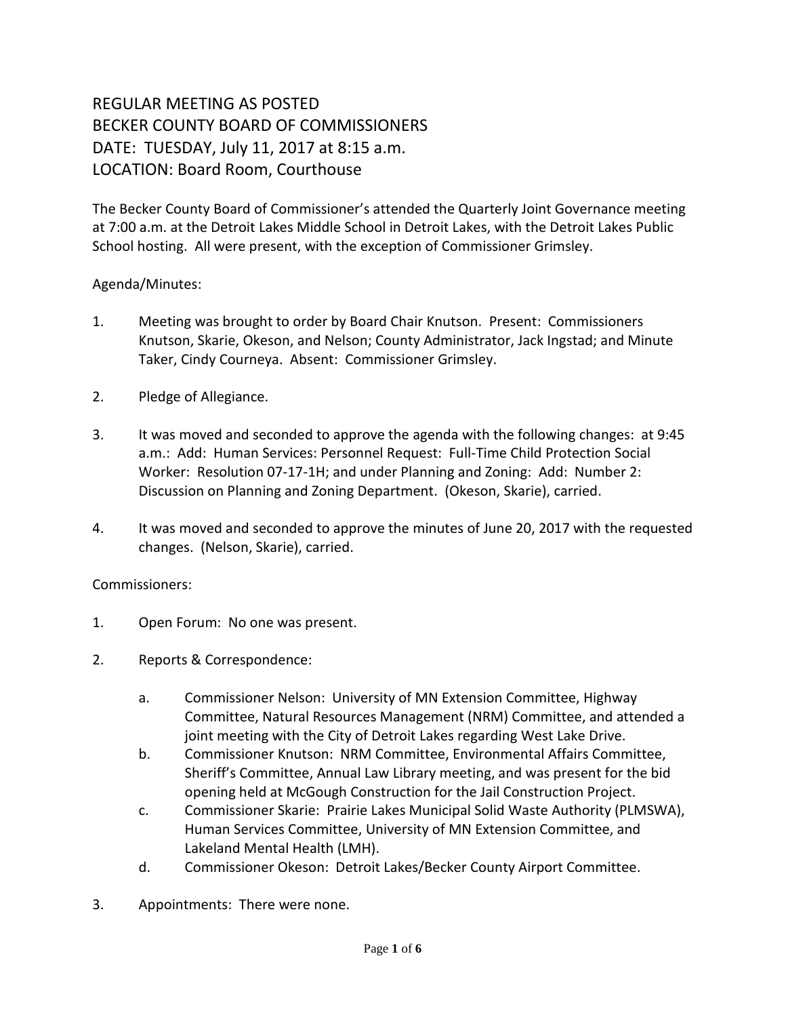## REGULAR MEETING AS POSTED BECKER COUNTY BOARD OF COMMISSIONERS DATE: TUESDAY, July 11, 2017 at 8:15 a.m. LOCATION: Board Room, Courthouse

The Becker County Board of Commissioner's attended the Quarterly Joint Governance meeting at 7:00 a.m. at the Detroit Lakes Middle School in Detroit Lakes, with the Detroit Lakes Public School hosting. All were present, with the exception of Commissioner Grimsley.

## Agenda/Minutes:

- 1. Meeting was brought to order by Board Chair Knutson. Present: Commissioners Knutson, Skarie, Okeson, and Nelson; County Administrator, Jack Ingstad; and Minute Taker, Cindy Courneya. Absent: Commissioner Grimsley.
- 2. Pledge of Allegiance.
- 3. It was moved and seconded to approve the agenda with the following changes: at 9:45 a.m.: Add: Human Services: Personnel Request: Full-Time Child Protection Social Worker: Resolution 07-17-1H; and under Planning and Zoning: Add: Number 2: Discussion on Planning and Zoning Department. (Okeson, Skarie), carried.
- 4. It was moved and seconded to approve the minutes of June 20, 2017 with the requested changes. (Nelson, Skarie), carried.

## Commissioners:

- 1. Open Forum: No one was present.
- 2. Reports & Correspondence:
	- a. Commissioner Nelson: University of MN Extension Committee, Highway Committee, Natural Resources Management (NRM) Committee, and attended a joint meeting with the City of Detroit Lakes regarding West Lake Drive.
	- b. Commissioner Knutson: NRM Committee, Environmental Affairs Committee, Sheriff's Committee, Annual Law Library meeting, and was present for the bid opening held at McGough Construction for the Jail Construction Project.
	- c. Commissioner Skarie: Prairie Lakes Municipal Solid Waste Authority (PLMSWA), Human Services Committee, University of MN Extension Committee, and Lakeland Mental Health (LMH).
	- d. Commissioner Okeson: Detroit Lakes/Becker County Airport Committee.
- 3. Appointments: There were none.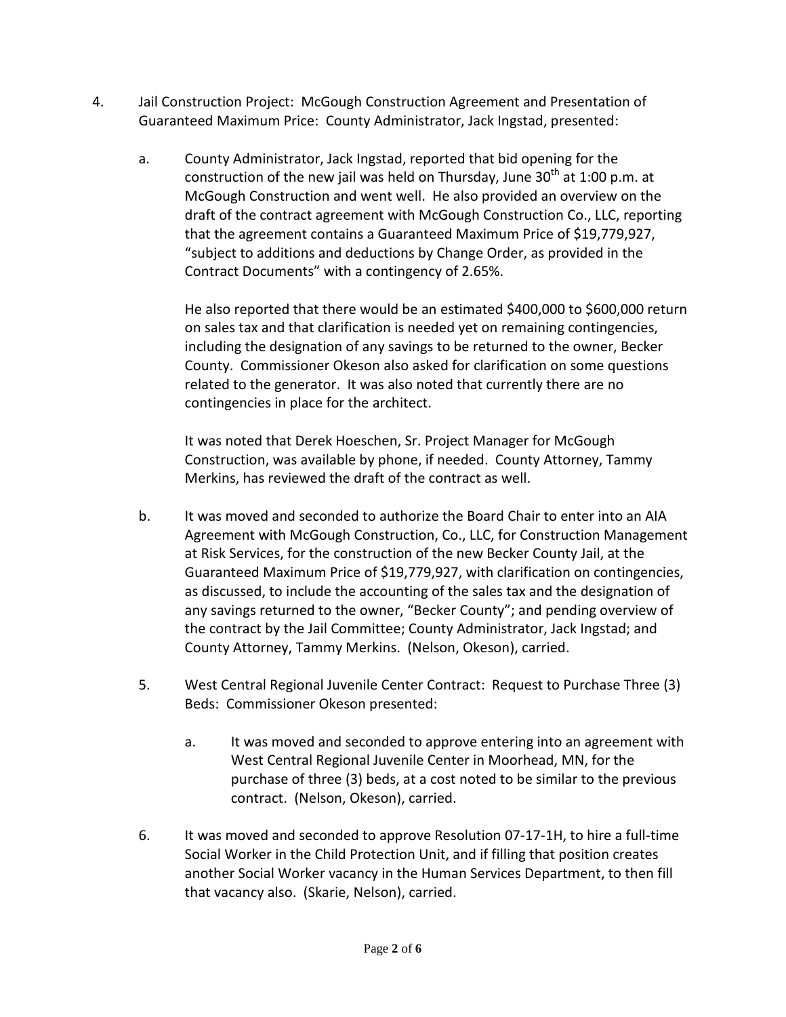- 4. Jail Construction Project: McGough Construction Agreement and Presentation of Guaranteed Maximum Price: County Administrator, Jack Ingstad, presented:
	- a. County Administrator, Jack Ingstad, reported that bid opening for the construction of the new jail was held on Thursday, June  $30<sup>th</sup>$  at 1:00 p.m. at McGough Construction and went well. He also provided an overview on the draft of the contract agreement with McGough Construction Co., LLC, reporting that the agreement contains a Guaranteed Maximum Price of \$19,779,927, "subject to additions and deductions by Change Order, as provided in the Contract Documents" with a contingency of 2.65%.

He also reported that there would be an estimated \$400,000 to \$600,000 return on sales tax and that clarification is needed yet on remaining contingencies, including the designation of any savings to be returned to the owner, Becker County. Commissioner Okeson also asked for clarification on some questions related to the generator. It was also noted that currently there are no contingencies in place for the architect.

It was noted that Derek Hoeschen, Sr. Project Manager for McGough Construction, was available by phone, if needed. County Attorney, Tammy Merkins, has reviewed the draft of the contract as well.

- b. It was moved and seconded to authorize the Board Chair to enter into an AIA Agreement with McGough Construction, Co., LLC, for Construction Management at Risk Services, for the construction of the new Becker County Jail, at the Guaranteed Maximum Price of \$19,779,927, with clarification on contingencies, as discussed, to include the accounting of the sales tax and the designation of any savings returned to the owner, "Becker County"; and pending overview of the contract by the Jail Committee; County Administrator, Jack Ingstad; and County Attorney, Tammy Merkins. (Nelson, Okeson), carried.
- 5. West Central Regional Juvenile Center Contract: Request to Purchase Three (3) Beds: Commissioner Okeson presented:
	- a. It was moved and seconded to approve entering into an agreement with West Central Regional Juvenile Center in Moorhead, MN, for the purchase of three (3) beds, at a cost noted to be similar to the previous contract. (Nelson, Okeson), carried.
- 6. It was moved and seconded to approve Resolution 07-17-1H, to hire a full-time Social Worker in the Child Protection Unit, and if filling that position creates another Social Worker vacancy in the Human Services Department, to then fill that vacancy also. (Skarie, Nelson), carried.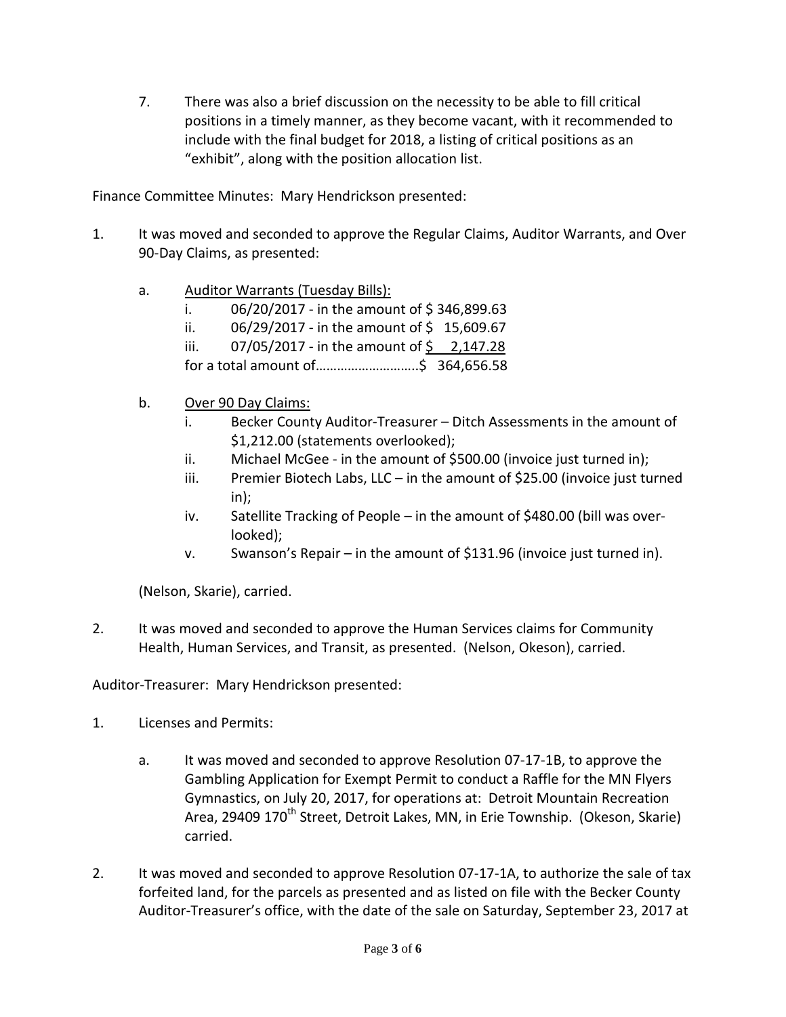7. There was also a brief discussion on the necessity to be able to fill critical positions in a timely manner, as they become vacant, with it recommended to include with the final budget for 2018, a listing of critical positions as an "exhibit", along with the position allocation list.

Finance Committee Minutes: Mary Hendrickson presented:

- 1. It was moved and seconded to approve the Regular Claims, Auditor Warrants, and Over 90-Day Claims, as presented:
	- a. Auditor Warrants (Tuesday Bills):
		- i.  $06/20/2017$  in the amount of \$346,899.63
		- ii.  $06/29/2017$  in the amount of \$15,609.67
		- iii.  $07/05/2017$  in the amount of  $\frac{2}{147.28}$
		- for a total amount of………………………..\$ 364,656.58
	- b. Over 90 Day Claims:
		- i. Becker County Auditor-Treasurer Ditch Assessments in the amount of \$1,212.00 (statements overlooked);
		- ii. Michael McGee in the amount of \$500.00 (invoice just turned in);
		- iii. Premier Biotech Labs, LLC in the amount of \$25.00 (invoice just turned in);
		- iv. Satellite Tracking of People in the amount of \$480.00 (bill was overlooked);
		- v. Swanson's Repair in the amount of \$131.96 (invoice just turned in).

(Nelson, Skarie), carried.

2. It was moved and seconded to approve the Human Services claims for Community Health, Human Services, and Transit, as presented. (Nelson, Okeson), carried.

Auditor-Treasurer: Mary Hendrickson presented:

- 1. Licenses and Permits:
	- a. It was moved and seconded to approve Resolution 07-17-1B, to approve the Gambling Application for Exempt Permit to conduct a Raffle for the MN Flyers Gymnastics, on July 20, 2017, for operations at: Detroit Mountain Recreation Area, 29409 170<sup>th</sup> Street, Detroit Lakes, MN, in Erie Township. (Okeson, Skarie) carried.
- 2. It was moved and seconded to approve Resolution 07-17-1A, to authorize the sale of tax forfeited land, for the parcels as presented and as listed on file with the Becker County Auditor-Treasurer's office, with the date of the sale on Saturday, September 23, 2017 at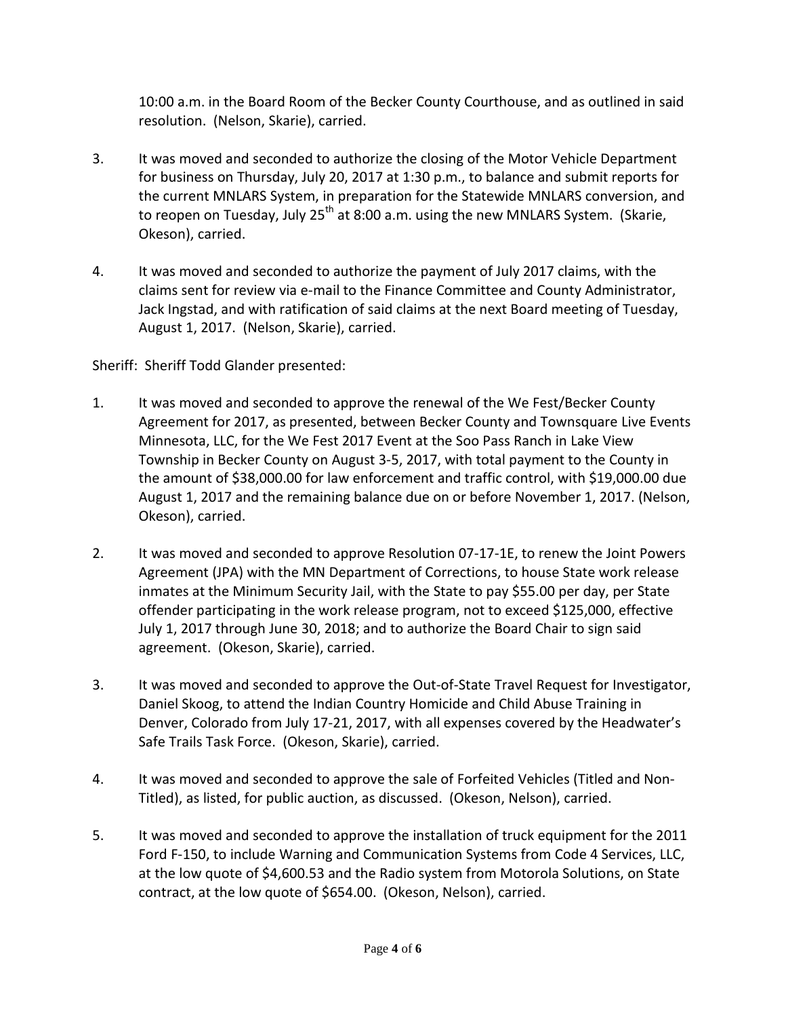10:00 a.m. in the Board Room of the Becker County Courthouse, and as outlined in said resolution. (Nelson, Skarie), carried.

- 3. It was moved and seconded to authorize the closing of the Motor Vehicle Department for business on Thursday, July 20, 2017 at 1:30 p.m., to balance and submit reports for the current MNLARS System, in preparation for the Statewide MNLARS conversion, and to reopen on Tuesday, July 25<sup>th</sup> at 8:00 a.m. using the new MNLARS System. (Skarie, Okeson), carried.
- 4. It was moved and seconded to authorize the payment of July 2017 claims, with the claims sent for review via e-mail to the Finance Committee and County Administrator, Jack Ingstad, and with ratification of said claims at the next Board meeting of Tuesday, August 1, 2017. (Nelson, Skarie), carried.

Sheriff: Sheriff Todd Glander presented:

- 1. It was moved and seconded to approve the renewal of the We Fest/Becker County Agreement for 2017, as presented, between Becker County and Townsquare Live Events Minnesota, LLC, for the We Fest 2017 Event at the Soo Pass Ranch in Lake View Township in Becker County on August 3-5, 2017, with total payment to the County in the amount of \$38,000.00 for law enforcement and traffic control, with \$19,000.00 due August 1, 2017 and the remaining balance due on or before November 1, 2017. (Nelson, Okeson), carried.
- 2. It was moved and seconded to approve Resolution 07-17-1E, to renew the Joint Powers Agreement (JPA) with the MN Department of Corrections, to house State work release inmates at the Minimum Security Jail, with the State to pay \$55.00 per day, per State offender participating in the work release program, not to exceed \$125,000, effective July 1, 2017 through June 30, 2018; and to authorize the Board Chair to sign said agreement. (Okeson, Skarie), carried.
- 3. It was moved and seconded to approve the Out-of-State Travel Request for Investigator, Daniel Skoog, to attend the Indian Country Homicide and Child Abuse Training in Denver, Colorado from July 17-21, 2017, with all expenses covered by the Headwater's Safe Trails Task Force. (Okeson, Skarie), carried.
- 4. It was moved and seconded to approve the sale of Forfeited Vehicles (Titled and Non-Titled), as listed, for public auction, as discussed. (Okeson, Nelson), carried.
- 5. It was moved and seconded to approve the installation of truck equipment for the 2011 Ford F-150, to include Warning and Communication Systems from Code 4 Services, LLC, at the low quote of \$4,600.53 and the Radio system from Motorola Solutions, on State contract, at the low quote of \$654.00. (Okeson, Nelson), carried.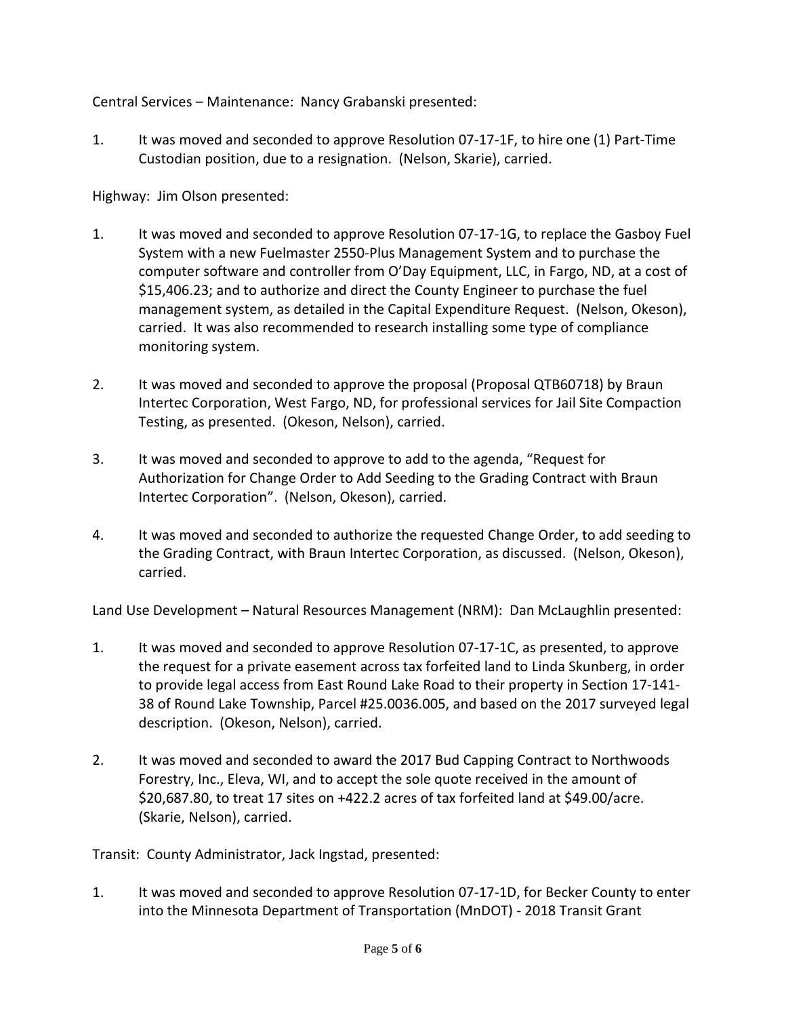Central Services – Maintenance: Nancy Grabanski presented:

1. It was moved and seconded to approve Resolution 07-17-1F, to hire one (1) Part-Time Custodian position, due to a resignation. (Nelson, Skarie), carried.

Highway: Jim Olson presented:

- 1. It was moved and seconded to approve Resolution 07-17-1G, to replace the Gasboy Fuel System with a new Fuelmaster 2550-Plus Management System and to purchase the computer software and controller from O'Day Equipment, LLC, in Fargo, ND, at a cost of \$15,406.23; and to authorize and direct the County Engineer to purchase the fuel management system, as detailed in the Capital Expenditure Request. (Nelson, Okeson), carried. It was also recommended to research installing some type of compliance monitoring system.
- 2. It was moved and seconded to approve the proposal (Proposal QTB60718) by Braun Intertec Corporation, West Fargo, ND, for professional services for Jail Site Compaction Testing, as presented. (Okeson, Nelson), carried.
- 3. It was moved and seconded to approve to add to the agenda, "Request for Authorization for Change Order to Add Seeding to the Grading Contract with Braun Intertec Corporation". (Nelson, Okeson), carried.
- 4. It was moved and seconded to authorize the requested Change Order, to add seeding to the Grading Contract, with Braun Intertec Corporation, as discussed. (Nelson, Okeson), carried.

Land Use Development – Natural Resources Management (NRM): Dan McLaughlin presented:

- 1. It was moved and seconded to approve Resolution 07-17-1C, as presented, to approve the request for a private easement across tax forfeited land to Linda Skunberg, in order to provide legal access from East Round Lake Road to their property in Section 17-141- 38 of Round Lake Township, Parcel #25.0036.005, and based on the 2017 surveyed legal description. (Okeson, Nelson), carried.
- 2. It was moved and seconded to award the 2017 Bud Capping Contract to Northwoods Forestry, Inc., Eleva, WI, and to accept the sole quote received in the amount of \$20,687.80, to treat 17 sites on +422.2 acres of tax forfeited land at \$49.00/acre. (Skarie, Nelson), carried.

Transit: County Administrator, Jack Ingstad, presented:

1. It was moved and seconded to approve Resolution 07-17-1D, for Becker County to enter into the Minnesota Department of Transportation (MnDOT) - 2018 Transit Grant